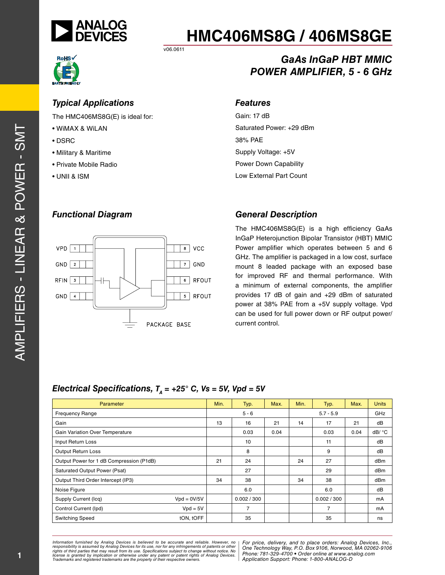

*GaAs InGaP HBT MMIC*

*POWER AMPLIFIER, 5 - 6 GHz*

v06.0611



#### *Typical Applications*

The HMC406MS8G(E) is ideal for:

- WiMAX & WiLAN
- DSRC
- Military & Maritime
- Private Mobile Radio
- UNII & ISM

#### *Features*

Gain: 17 dB Saturated Power: +29 dBm 38% PAE Supply Voltage: +5V Power Down Capability Low External Part Count

#### *Functional Diagram*



#### *General Description*

The HMC406MS8G(E) is a high efficiency GaAs InGaP Heterojunction Bipolar Transistor (HBT) MMIC Power amplifier which operates between 5 and 6 GHz. The amplifier is packaged in a low cost, surface mount 8 leaded package with an exposed base for improved RF and thermal performance. With a minimum of external components, the amplifier provides 17 dB of gain and +29 dBm of saturated power at 38% PAE from a +5V supply voltage. Vpd can be used for full power down or RF output power/ current control.

#### *Electrical Specifications,*  $T<sub>A</sub> = +25$ ° *C, Vs = 5V, Vpd = 5V*

| Parameter                                |               | Min. | Typ.        | Max. | Min. | Typ.           | Max. | <b>Units</b> |
|------------------------------------------|---------------|------|-------------|------|------|----------------|------|--------------|
| <b>Frequency Range</b>                   |               |      | $5 - 6$     |      |      | $5.7 - 5.9$    |      | GHz          |
| Gain                                     |               | 13   | 16          | 21   | 14   | 17             | 21   | dB           |
| <b>Gain Variation Over Temperature</b>   |               |      | 0.03        | 0.04 |      | 0.03           | 0.04 | dB/ °C       |
| Input Return Loss                        |               |      | 10          |      |      | 11             |      | dB           |
| <b>Output Return Loss</b>                |               |      | 8           |      |      | 9              |      | dB           |
| Output Power for 1 dB Compression (P1dB) |               | 21   | 24          |      | 24   | 27             |      | dBm          |
| <b>Saturated Output Power (Psat)</b>     |               |      | 27          |      |      | 29             |      | dBm          |
| Output Third Order Intercept (IP3)       |               | 34   | 38          |      | 34   | 38             |      | dBm          |
| Noise Figure                             |               |      | 6.0         |      |      | 6.0            |      | dB           |
| Supply Current (Icq)                     | $Vpd = 0V/5V$ |      | 0.002 / 300 |      |      | 0.002 / 300    |      | mA           |
| Control Current (Ipd)                    | $Vpd = 5V$    |      | 7           |      |      | $\overline{7}$ |      | mA           |
| <b>Switching Speed</b>                   | tON, tOFF     |      | 35          |      |      | 35             |      | ns           |

*Formation iurnished by Analog Devices is believed to be accurate and reliable. However, no Hor price, delivery, and to place orders: Analog Devices, In<br>roonsibility is assumed by Analog Devices for its use, nor for any pressult from its use. Specifications subject to change without notice. No*<br>ation or otherwise under any patent or patent rights of Analog Devices Phone: 781-329-4700 • Order online at ww *e* the property of their respective owners. **Application Support: Phone: 1-8** *Information furnished by Analog Devices is believed to be accurate and reliable. However, no*  responsibility is assumed by Analog Devices for its use, nor for any infringements of patents or other<br>rights of third parties that may result from its use. Specifications subject to change without notice. No<br>license is gr

*For price, delivery, and to place orders: Analog Devices, Inc., One Technology Way, P.O. Box 9106, Norwood, MA 02062-9106 Phone: 781-329-4700 • Order online at www.analog.com Application Support: Phone: 1-800-ANALOG-D*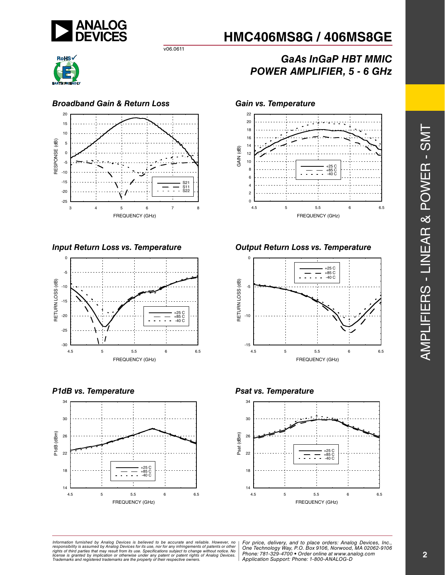

v06.0611



#### *Broadband Gain & Return Loss Gain vs. Temperature*





*P1dB vs. Temperature Psat vs. Temperature*



# **HMC406MS8G / 406MS8GE**

## *GaAs InGaP HBT MMIC POWER AMPLIFIER, 5 - 6 GHz*



#### *Input Return Loss vs. Temperature Output Return Loss vs. Temperature*





ormation furnished by Analog Devices is believed to be accurate and reliable. However, no | For price, delivery, and to place orders: Analog Devices, Inc.,<br>hponsibility is assumed by Analog Devices for its use, nor for any *pressult from its use. Specifications subject to change without notice. No*<br>ation or otherwise under any patent or patent rights of Analog Devices Phone: 781-329-4700 • Order online at ww *e* the property of their respective owners. **Application Support: Phone: 1-8** *Information furnished by Analog Devices is believed to be accurate and reliable. However, no*  responsibility is assumed by Analog Devices for its use, nor for any infringements of patents or other<br>rights of third parties that may result from its use. Specifications subject to change without notice. No<br>license is gr

*Application Support: Phone: 1-800-ANALOG-D*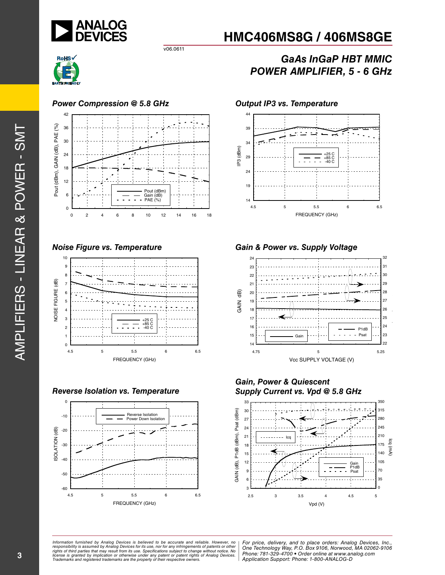

## *GaAs InGaP HBT MMIC POWER AMPLIFIER, 5 - 6 GHz*



#### *Power Compression @ 5.8 GHz Output IP3 vs. Temperature*



v06.0611



#### *Reverse Isolation vs. Temperature*





#### *Noise Figure vs. Temperature Gain & Power vs. Supply Voltage*



*Gain, Power & Quiescent Supply Current vs. Vpd @ 5.8 GHz*



*Formation iurnished by Analog Devices is believed to be accurate and reliable. However, no Hor price, delivery, and to place orders: Analog Devices, In<br>roonsibility is assumed by Analog Devices for its use, nor for any pressult from its use. Specifications subject to change without notice. No*<br>ation or otherwise under any patent or patent rights of Analog Devices Phone: 781-329-4700 • Order online at ww *e* the property of their respective owners. **Application Support: Phone: 1-8** *Information furnished by Analog Devices is believed to be accurate and reliable. However, no*  responsibility is assumed by Analog Devices for its use, nor for any infringements of patents or other<br>rights of third parties that may result from its use. Specifications subject to change without notice. No<br>license is gr

*For price, delivery, and to place orders: Analog Devices, Inc., One Technology Way, P.O. Box 9106, Norwood, MA 02062-9106 Phone: 781-329-4700 • Order online at www.analog.com Application Support: Phone: 1-800-ANALOG-D*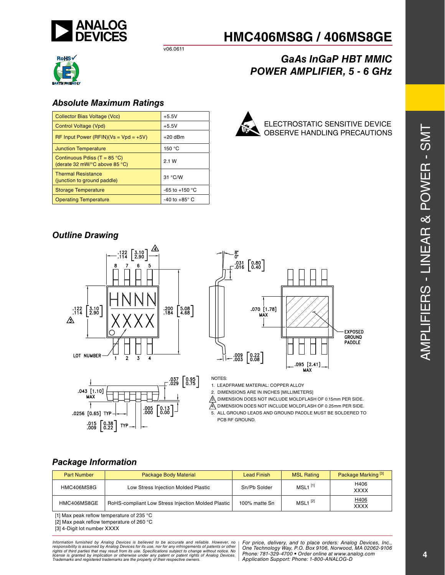

v06.0611



#### *Absolute Maximum Ratings*

| Collector Bias Voltage (Vcc)                                                              | $+5.5V$                  |  |
|-------------------------------------------------------------------------------------------|--------------------------|--|
| Control Voltage (Vpd)                                                                     | $+5.5V$                  |  |
| $RF$ Input Power (RFIN)(Vs = Vpd = +5V)                                                   | $+20$ dBm                |  |
| <b>Junction Temperature</b>                                                               | 150 $\degree$ C          |  |
| Continuous Pdiss (T = $85^{\circ}$ C)<br>(derate 32 mW/ $\degree$ C above 85 $\degree$ C) | 2.1 W                    |  |
| <b>Thermal Resistance</b><br>(junction to ground paddle)                                  | 31 °C/W                  |  |
| <b>Storage Temperature</b>                                                                | -65 to +150 $^{\circ}$ C |  |
| <b>Operating Temperature</b>                                                              | -40 to +85 $^{\circ}$ C  |  |



ELECTROSTATIC SENSITIVE DEVICE OBSERVE HANDLING PRECAUTIONS

*POWER AMPLIFIER, 5 - 6 GHz*

*GaAs InGaP HBT MMIC*

**HMC406MS8G / 406MS8GE**

### *Outline Drawing*







NOTES:

1. LEADFRAME MATERIAL: COPPER ALLOY

2. DIMENSIONS ARE IN INCHES [MILLIMETERS]

3. DIMENSION DOES NOT INCLUDE MOLDFLASH OF 0.15mm PER SIDE.  $\overline{A}$ . DIMENSION DOES NOT INCLUDE MOLDFLASH OF 0.25mm PER SIDE.

5. ALL GROUND LEADS AND GROUND PADDLE MUST BE SOLDERED TO PCB RF GROUND.

#### *Package Information*

| <b>Part Number</b> | Package Body Material                              | <b>Lead Finish</b> | <b>MSL Rating</b>     | Package Marking <sup>[3]</sup> |
|--------------------|----------------------------------------------------|--------------------|-----------------------|--------------------------------|
| HMC406MS8G         | Low Stress Injection Molded Plastic                | Sn/Pb Solder       | $MSL1$ <sup>[1]</sup> | H406<br><b>XXXX</b>            |
| HMC406MS8GE        | RoHS-compliant Low Stress Injection Molded Plastic | 100% matte Sn      | $MSL1$ <sup>[2]</sup> | H406<br><b>XXXX</b>            |

[1] Max peak reflow temperature of 235 °C

[2] Max peak reflow temperature of 260 °C

[3] 4-Digit lot number XXXX

*Formation iurnished by Analog Devices is believed to be accurate and reliable. However, no Hor price, delivery, and to place orders: Analog Devices, In<br>roonsibility is assumed by Analog Devices for its use, nor for any pressult from its use. Specifications subject to change without notice. No*<br>ation or otherwise under any patent or patent rights of Analog Devices Phone: 781-329-4700 • Order online at ww *e* the property of their respective owners. **Application Support: Phone: 1-8** Information furnished by Analog Devices is believed to be accurate and reliable. However, no<br>responsibility is assumed by Analog Devices for its use, nor for any infringements of patents or other<br>rights of third parties th

*For price, delivery, and to place orders: Analog Devices, Inc., One Technology Way, P.O. Box 9106, Norwood, MA 02062-9106 Phone: 781-329-4700 • Order online at www.analog.com Application Support: Phone: 1-800-ANALOG-D*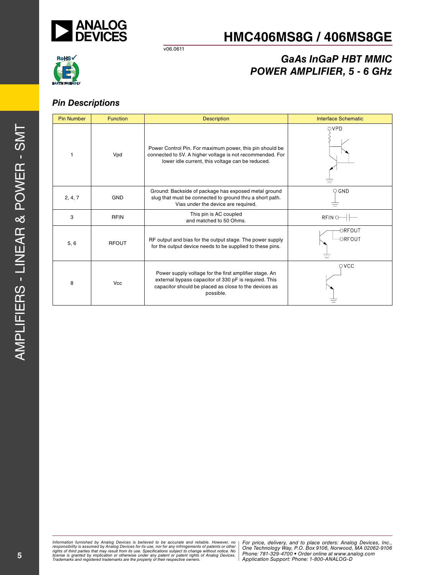

v06.0611

# RoHS√  $(E)$

## *GaAs InGaP HBT MMIC POWER AMPLIFIER, 5 - 6 GHz*

### *Pin Descriptions*

| <b>Pin Number</b> | <b>Function</b> | <b>Description</b>                                                                                                                                                                    | <b>Interface Schematic</b> |  |
|-------------------|-----------------|---------------------------------------------------------------------------------------------------------------------------------------------------------------------------------------|----------------------------|--|
|                   | Vpd             | Power Control Pin. For maximum power, this pin should be<br>connected to 5V. A higher voltage is not recommended. For<br>lower idle current, this voltage can be reduced.             | QVPD                       |  |
| 2, 4, 7           | <b>GND</b>      | Ground: Backside of package has exposed metal ground<br>slug that must be connected to ground thru a short path.<br>Vias under the device are required.                               | $\circ$ GND                |  |
| 3                 | <b>RFIN</b>     | This pin is AC coupled<br>and matched to 50 Ohms.                                                                                                                                     | RFIN O                     |  |
| 5, 6              | <b>RFOUT</b>    | RF output and bias for the output stage. The power supply<br>for the output device needs to be supplied to these pins.                                                                | -ORFOUT<br><b>ORFOUT</b>   |  |
| 8                 | <b>Vcc</b>      | Power supply voltage for the first amplifier stage. An<br>external bypass capacitor of 330 pF is required. This<br>capacitor should be placed as close to the devices as<br>possible. | $\circ$ vcc                |  |

*Formation iurnished by Analog Devices is believed to be accurate and reliable. However, no Hor price, delivery, and to place orders: Analog Devices, In<br>roonsibility is assumed by Analog Devices for its use, nor for any pressult from its use. Specifications subject to change without notice. No*<br>ation or otherwise under any patent or patent rights of Analog Devices Phone: 781-329-4700 • Order online at ww *e* the property of their respective owners. **Application Support: Phone: 1-8** Information furnished by Analog Devices is believed to be accurate and reliable. However, no<br>responsibility is assumed by Analog Devices for its use, nor for any infringements of patents or other<br>rights of third parties th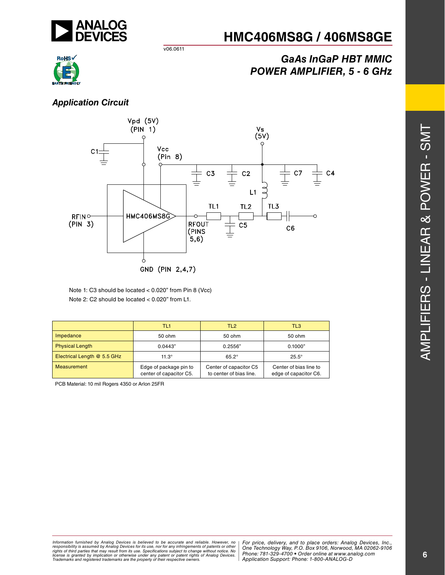

## *GaAs InGaP HBT MMIC POWER AMPLIFIER, 5 - 6 GHz*



### *Application Circuit*



v06.0611

Note 1: C3 should be located < 0.020" from Pin 8 (Vcc) Note 2: C2 should be located < 0.020" from L1.

|                             | TL <sub>1</sub>                                   | TL <sub>2</sub>                                   | TL <sub>3</sub>                                 |
|-----------------------------|---------------------------------------------------|---------------------------------------------------|-------------------------------------------------|
| Impedance                   | 50 ohm                                            | $50$ ohm                                          | 50 ohm                                          |
| <b>Physical Length</b>      | 0.0443"                                           | 0.2556"                                           | 0.1000"                                         |
| Electrical Length @ 5.5 GHz | $11.3^\circ$                                      | $65.2^\circ$                                      | $25.5^\circ$                                    |
| <b>Measurement</b>          | Edge of package pin to<br>center of capacitor C5. | Center of capacitor C5<br>to center of bias line. | Center of bias line to<br>edge of capacitor C6. |

PCB Material: 10 mil Rogers 4350 or Arlon 25FR

 $\vdash$ 

*Formation iurnished by Analog Devices is believed to be accurate and reliable. However, no Hor price, delivery, and to place orders: Analog Devices, In<br>roonsibility is assumed by Analog Devices for its use, nor for any pressult from its use. Specifications subject to change without notice. No*<br>ation or otherwise under any patent or patent rights of Analog Devices Phone: 781-329-4700 • Order online at ww *e* the property of their respective owners. **Application Support: Phone: 1-8** Information furnished by Analog Devices is believed to be accurate and reliable. However, no<br>responsibility is assumed by Analog Devices for its use, nor for any infringements of patents or other<br>rights of third parties th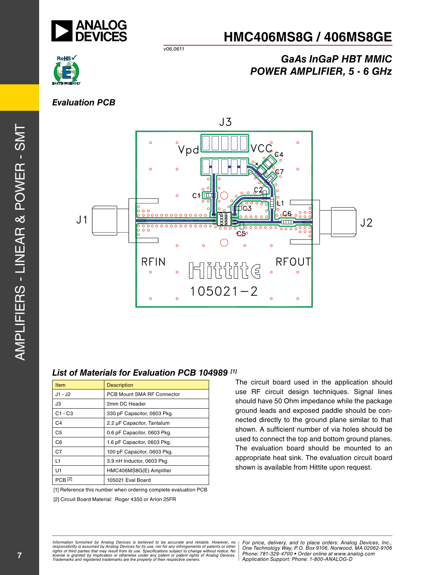

v06.0611



## *GaAs InGaP HBT MMIC POWER AMPLIFIER, 5 - 6 GHz*

### *Evaluation PCB*



#### *List of Materials for Evaluation PCB 104989 [1]*

| Item           | <b>Description</b>          |
|----------------|-----------------------------|
| $J1 - J2$      | PCB Mount SMA RF Connector  |
| J3             | 2mm DC Header               |
| $C1 - C3$      | 330 pF Capacitor, 0603 Pkg. |
| C <sub>4</sub> | 2.2 µF Capacitor, Tantalum  |
| C5             | 0.6 pF Capacitor, 0603 Pkg. |
| C <sub>6</sub> | 1.6 pF Capacitor, 0603 Pkg. |
| C <sub>7</sub> | 100 pF Capacitor, 0603 Pkg. |
| L1             | 3.9 nH Inductor, 0603 Pkg.  |
| U1             | HMC406MS8G(E) Amplifier     |
| <b>PCB</b>     | 105021 Eval Board           |

[1] Reference this number when ordering complete evaluation PCB

[2] Circuit Board Material: Roger 4350 or Arlon 25FR

The circuit board used in the application should use RF circuit design techniques. Signal lines should have 50 Ohm impedance while the package ground leads and exposed paddle should be connected directly to the ground plane similar to that shown. A sufficient number of via holes should be used to connect the top and bottom ground planes. The evaluation board should be mounted to an appropriate heat sink. The evaluation circuit board shown is available from Hittite upon request.

Amplifiers -  $\frac{\mathsf{Z}}{\mathsf{I}}$  $\blacksquare$ ar & Power -  $\mathcal{O}$  $\vdash$